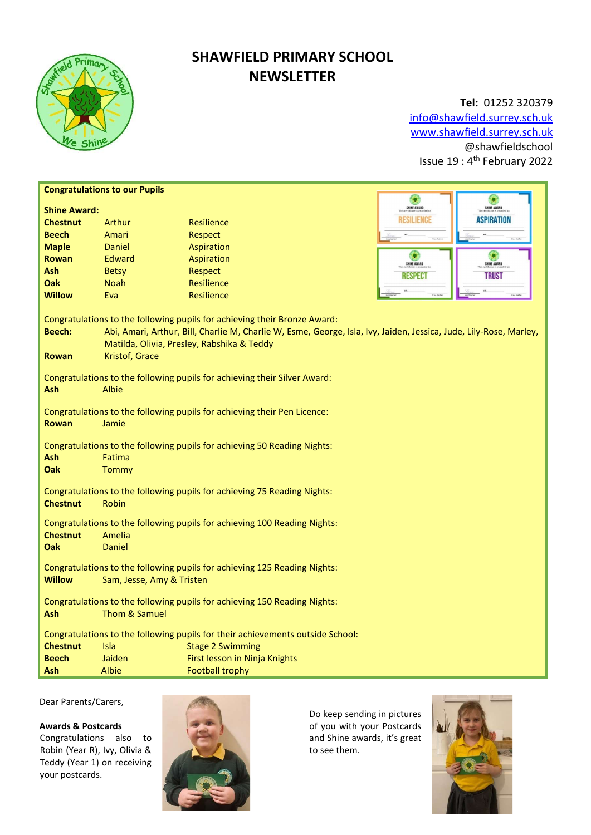

# SHAWFIELD PRIMARY SCHOOL **NEWSLETTER**

Tel: 01252 320379 info@shawfield.surrey.sch.uk www.shawfield.surrey.sch.uk @shawfieldschool Issue 19 : 4th February 2022

| <b>Congratulations to our Pupils</b><br>۹                                                                                                                                                                                                                                                        |              |                               |                                      |
|--------------------------------------------------------------------------------------------------------------------------------------------------------------------------------------------------------------------------------------------------------------------------------------------------|--------------|-------------------------------|--------------------------------------|
| ۰<br>SHINE AWARD<br>SHINE AWARD<br><b>Shine Award:</b>                                                                                                                                                                                                                                           |              |                               |                                      |
| <b>Chestnut</b>                                                                                                                                                                                                                                                                                  | Arthur       | <b>Resilience</b>             | <b>ASPIRATION</b><br>RESILIENCE      |
| <b>Beech</b>                                                                                                                                                                                                                                                                                     | Amari        | Respect                       |                                      |
| <b>Maple</b>                                                                                                                                                                                                                                                                                     | Daniel       | Aspiration                    |                                      |
| <b>Rowan</b>                                                                                                                                                                                                                                                                                     | Edward       | Aspiration                    | G<br>۰<br>SHINE AWARD<br>SHINE AWARD |
| Ash                                                                                                                                                                                                                                                                                              | <b>Betsy</b> | <b>Respect</b>                | <b>RESPECT</b><br><b>TRUST</b>       |
| <b>Oak</b>                                                                                                                                                                                                                                                                                       | <b>Noah</b>  | <b>Resilience</b>             |                                      |
| <b>Willow</b>                                                                                                                                                                                                                                                                                    | Eva          | <b>Resilience</b>             |                                      |
| Congratulations to the following pupils for achieving their Bronze Award:<br><b>Beech:</b><br>Abi, Amari, Arthur, Bill, Charlie M, Charlie W, Esme, George, Isla, Ivy, Jaiden, Jessica, Jude, Lily-Rose, Marley,<br>Matilda, Olivia, Presley, Rabshika & Teddy<br>Kristof, Grace<br><b>Rowan</b> |              |                               |                                      |
| Congratulations to the following pupils for achieving their Silver Award:<br>Ash<br>Albie                                                                                                                                                                                                        |              |                               |                                      |
| Congratulations to the following pupils for achieving their Pen Licence:<br><b>Rowan</b><br>Jamie                                                                                                                                                                                                |              |                               |                                      |
| Congratulations to the following pupils for achieving 50 Reading Nights:<br>Ash<br>Fatima<br><b>Oak</b><br>Tommy                                                                                                                                                                                 |              |                               |                                      |
| Congratulations to the following pupils for achieving 75 Reading Nights:<br><b>Chestnut</b><br>Robin                                                                                                                                                                                             |              |                               |                                      |
| Congratulations to the following pupils for achieving 100 Reading Nights:<br><b>Chestnut</b><br>Amelia<br><b>Oak</b><br>Daniel                                                                                                                                                                   |              |                               |                                      |
| Congratulations to the following pupils for achieving 125 Reading Nights:<br><b>Willow</b><br>Sam, Jesse, Amy & Tristen                                                                                                                                                                          |              |                               |                                      |
| Congratulations to the following pupils for achieving 150 Reading Nights:<br>Thom & Samuel<br>Ash                                                                                                                                                                                                |              |                               |                                      |
| Congratulations to the following pupils for their achievements outside School:                                                                                                                                                                                                                   |              |                               |                                      |
| <b>Chestnut</b>                                                                                                                                                                                                                                                                                  | <b>Isla</b>  | <b>Stage 2 Swimming</b>       |                                      |
| <b>Beech</b>                                                                                                                                                                                                                                                                                     | Jaiden       | First lesson in Ninja Knights |                                      |
| Ash                                                                                                                                                                                                                                                                                              | Albie        | <b>Football trophy</b>        |                                      |

Dear Parents/Carers,

## Awards & Postcards

Congratulations also to Robin (Year R), Ivy, Olivia & Teddy (Year 1) on receiving your postcards.



Do keep sending in pictures of you with your Postcards and Shine awards, it's great to see them.